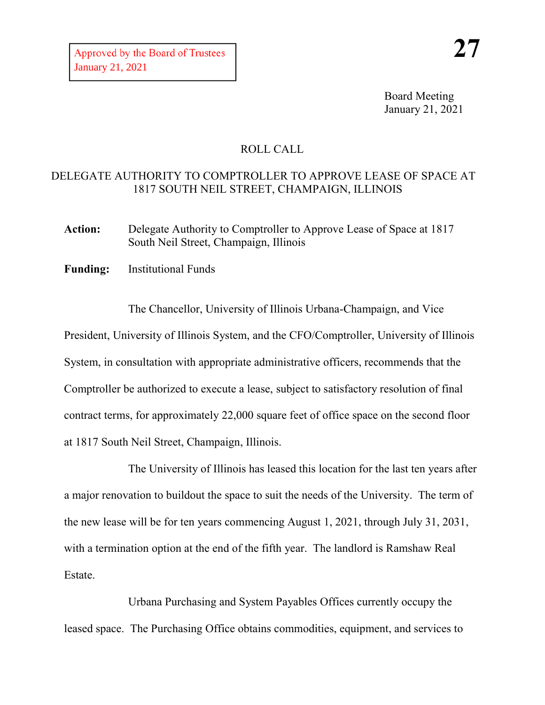Board Meeting January 21, 2021

## ROLL CALL

## DELEGATE AUTHORITY TO COMPTROLLER TO APPROVE LEASE OF SPACE AT 1817 SOUTH NEIL STREET, CHAMPAIGN, ILLINOIS

Action: Delegate Authority to Comptroller to Approve Lease of Space at 1817 South Neil Street, Champaign, Illinois

**Funding:** Institutional Funds

The Chancellor, University of Illinois Urbana-Champaign, and Vice President, University of Illinois System, and the CFO/Comptroller, University of Illinois System, in consultation with appropriate administrative officers, recommends that the Comptroller be authorized to execute a lease, subject to satisfactory resolution of final contract terms, for approximately 22,000 square feet of office space on the second floor at 1817 South Neil Street, Champaign, Illinois.

The University of Illinois has leased this location for the last ten years after a major renovation to buildout the space to suit the needs of the University. The term of the new lease will be for ten years commencing August 1, 2021, through July 31, 2031, with a termination option at the end of the fifth year. The landlord is Ramshaw Real Estate.

Urbana Purchasing and System Payables Offices currently occupy the leased space. The Purchasing Office obtains commodities, equipment, and services to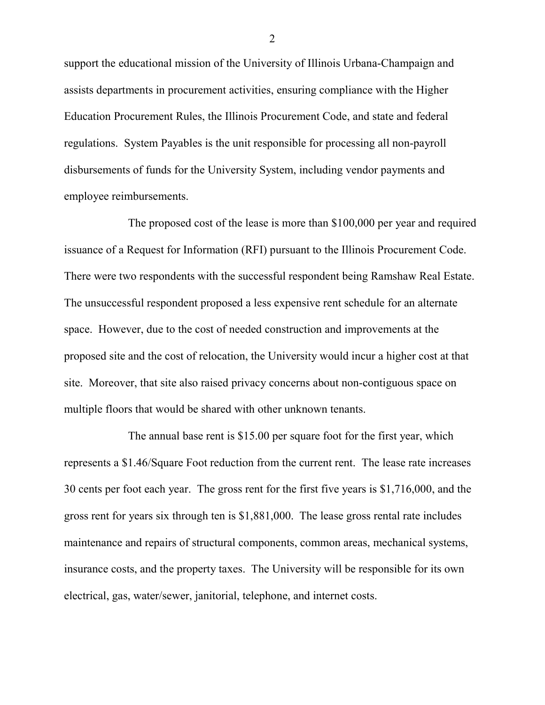support the educational mission of the University of Illinois Urbana-Champaign and assists departments in procurement activities, ensuring compliance with the Higher Education Procurement Rules, the Illinois Procurement Code, and state and federal regulations. System Payables is the unit responsible for processing all non-payroll disbursements of funds for the University System, including vendor payments and employee reimbursements.

The proposed cost of the lease is more than \$100,000 per year and required issuance of a Request for Information (RFI) pursuant to the Illinois Procurement Code. There were two respondents with the successful respondent being Ramshaw Real Estate. The unsuccessful respondent proposed a less expensive rent schedule for an alternate space. However, due to the cost of needed construction and improvements at the proposed site and the cost of relocation, the University would incur a higher cost at that site. Moreover, that site also raised privacy concerns about non-contiguous space on multiple floors that would be shared with other unknown tenants.

The annual base rent is \$15.00 per square foot for the first year, which represents a \$1.46/Square Foot reduction from the current rent. The lease rate increases 30 cents per foot each year. The gross rent for the first five years is \$1,716,000, and the gross rent for years six through ten is \$1,881,000. The lease gross rental rate includes maintenance and repairs of structural components, common areas, mechanical systems, insurance costs, and the property taxes. The University will be responsible for its own electrical, gas, water/sewer, janitorial, telephone, and internet costs.

2